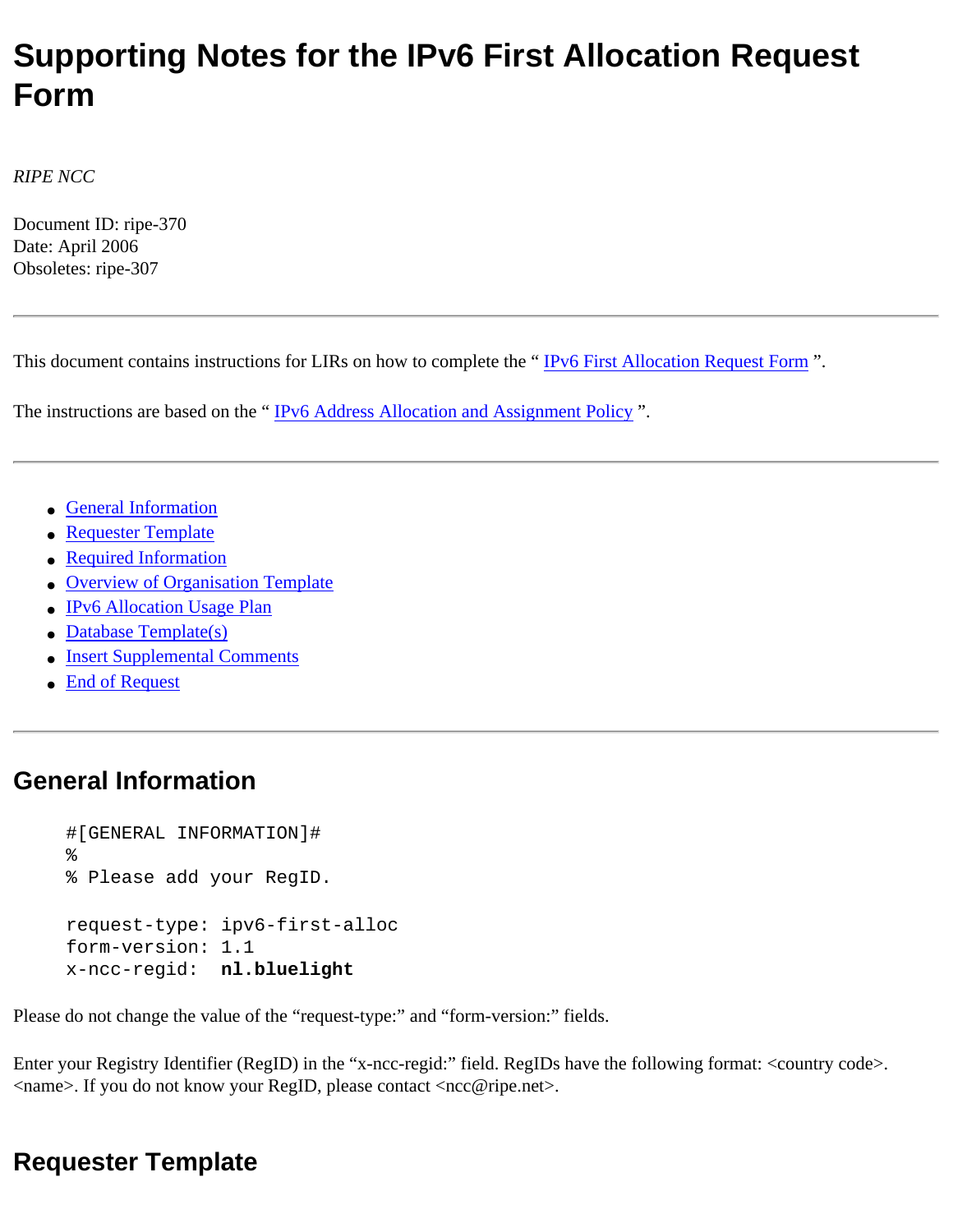# **Supporting Notes for the IPv6 First Allocation Request Form**

*RIPE NCC*

Document ID: ripe-370 Date: April 2006 Obsoletes: ripe-307

This document contains instructions for LIRs on how to complete the " [IPv6 First Allocation Request Form](http://test-www.ripe.net/ripe/docs/ipv6-initial.html) ".

The instructions are based on the "IPv6 Address Allocation and Assignment Policy".

- [General Information](#page-0-0)
- [Requester Template](#page-0-1)
- [Required Information](#page-1-0)
- [Overview of Organisation Template](#page-1-1)
- [IPv6 Allocation Usage Plan](#page-2-0)
- [Database Template\(s\)](#page-2-1)
- [Insert Supplemental Comments](#page-4-0)
- [End of Request](#page-4-1)

# <span id="page-0-0"></span>**General Information**

```
#[GENERAL INFORMATION]#
%
% Please add your RegID.
request-type: ipv6-first-alloc
form-version: 1.1
x-ncc-regid: nl.bluelight
```
Please do not change the value of the "request-type:" and "form-version:" fields.

Enter your Registry Identifier (RegID) in the "x-ncc-regid:" field. RegIDs have the following format: <country code>. <name>. If you do not know your RegID, please contact <ncc@ripe.net>.

# <span id="page-0-1"></span>**Requester Template**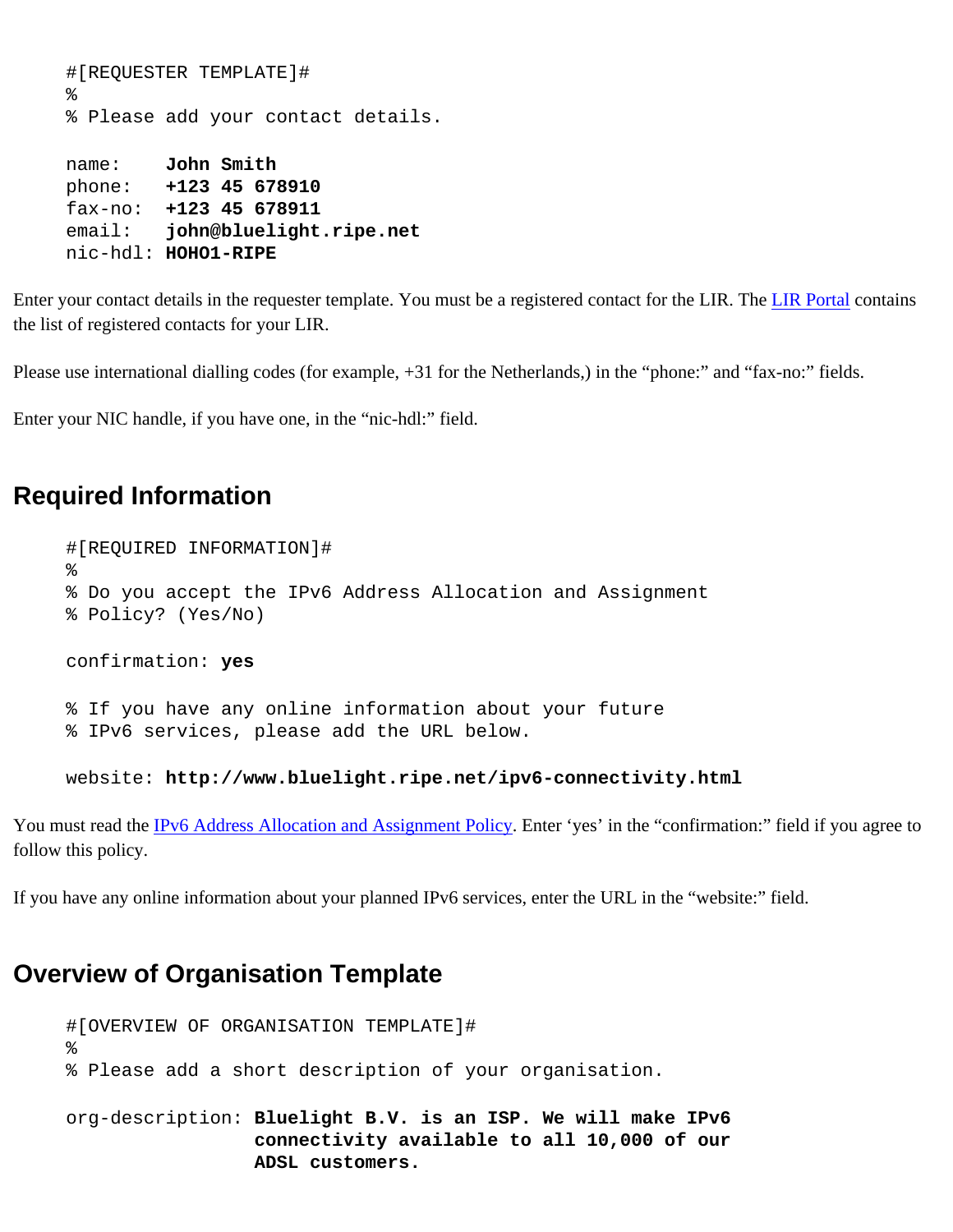```
#[REQUESTER TEMPLATE]#
%
% Please add your contact details.
name: John Smith
phone: +123 45 678910
fax-no: +123 45 678911
email: john@bluelight.ripe.net
nic-hdl: HOHO1-RIPE
```
Enter your contact details in the requester template. You must be a registered contact for the LIR. The [LIR Portal](https://lirportal.ripe.net/) contains the list of registered contacts for your LIR.

Please use international dialling codes (for example, +31 for the Netherlands,) in the "phone:" and "fax-no:" fields.

Enter your NIC handle, if you have one, in the "nic-hdl:" field.

### <span id="page-1-0"></span>**Required Information**

```
#[REQUIRED INFORMATION]#
%
% Do you accept the IPv6 Address Allocation and Assignment
% Policy? (Yes/No)
confirmation: yes
% If you have any online information about your future
% IPv6 services, please add the URL below.
```
website: **http://www.bluelight.ripe.net/ipv6-connectivity.html**

You must read the [IPv6 Address Allocation and Assignment Policy](http://test-www.ripe.net/ripe/docs/ipv6-policy.html). Enter 'yes' in the "confirmation:" field if you agree to follow this policy.

If you have any online information about your planned IPv6 services, enter the URL in the "website:" field.

## <span id="page-1-1"></span>**Overview of Organisation Template**

```
#[OVERVIEW OF ORGANISATION TEMPLATE]#
\epsilon% Please add a short description of your organisation.
org-description: Bluelight B.V. is an ISP. We will make IPv6
                  connectivity available to all 10,000 of our 
                  ADSL customers.
```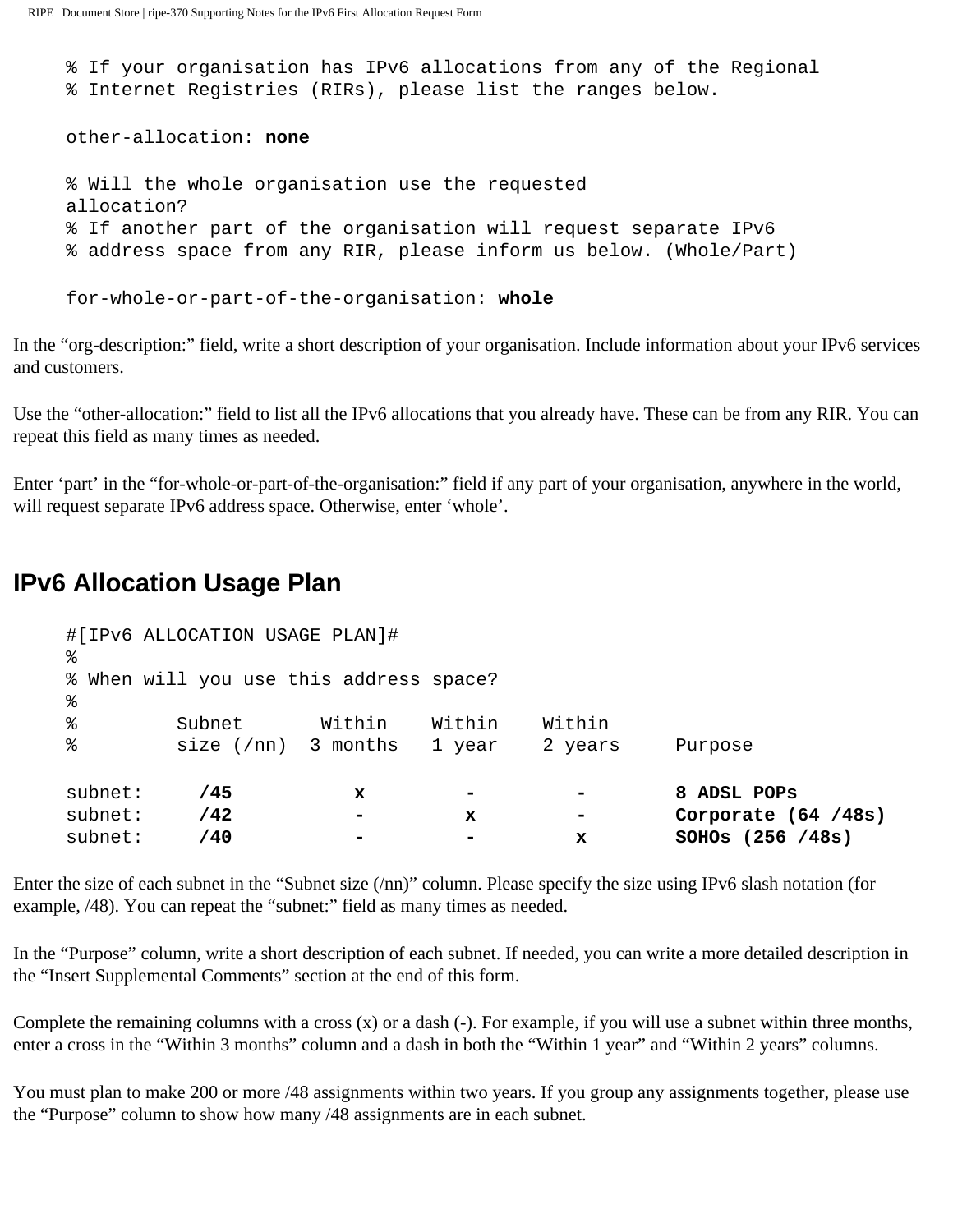```
% If your organisation has IPv6 allocations from any of the Regional
% Internet Registries (RIRs), please list the ranges below.
other-allocation: none
% Will the whole organisation use the requested 
allocation? 
% If another part of the organisation will request separate IPv6
% address space from any RIR, please inform us below. (Whole/Part)
for-whole-or-part-of-the-organisation: whole
```
In the "org-description:" field, write a short description of your organisation. Include information about your IPv6 services and customers.

Use the "other-allocation:" field to list all the IPv6 allocations that you already have. These can be from any RIR. You can repeat this field as many times as needed.

Enter 'part' in the "for-whole-or-part-of-the-organisation:" field if any part of your organisation, anywhere in the world, will request separate IPv6 address space. Otherwise, enter 'whole'.

## <span id="page-2-0"></span>**IPv6 Allocation Usage Plan**

| subnet:<br>subnet:    | /42<br>/40                              |        | $\mathbf x$      | x                 | Corporate $(64 / 48s)$<br>SOHOS (256 / 48s) |
|-----------------------|-----------------------------------------|--------|------------------|-------------------|---------------------------------------------|
| subnet:               | 745                                     | x      |                  |                   | 8 ADSL POPS                                 |
| %<br>$\,{}^{\circ}\!$ | Subnet<br>size $(7nn)$ 3 months         | Within | Within<br>1 year | Within<br>2 years | Purpose                                     |
| ៖                     | % When will you use this address space? |        |                  |                   |                                             |
| ·                     | #[IPv6 ALLOCATION USAGE PLAN]#          |        |                  |                   |                                             |

Enter the size of each subnet in the "Subnet size (/nn)" column. Please specify the size using IPv6 slash notation (for example, /48). You can repeat the "subnet:" field as many times as needed.

In the "Purpose" column, write a short description of each subnet. If needed, you can write a more detailed description in the "Insert Supplemental Comments" section at the end of this form.

Complete the remaining columns with a cross  $(x)$  or a dash  $(-)$ . For example, if you will use a subnet within three months, enter a cross in the "Within 3 months" column and a dash in both the "Within 1 year" and "Within 2 years" columns.

<span id="page-2-1"></span>You must plan to make 200 or more /48 assignments within two years. If you group any assignments together, please use the "Purpose" column to show how many /48 assignments are in each subnet.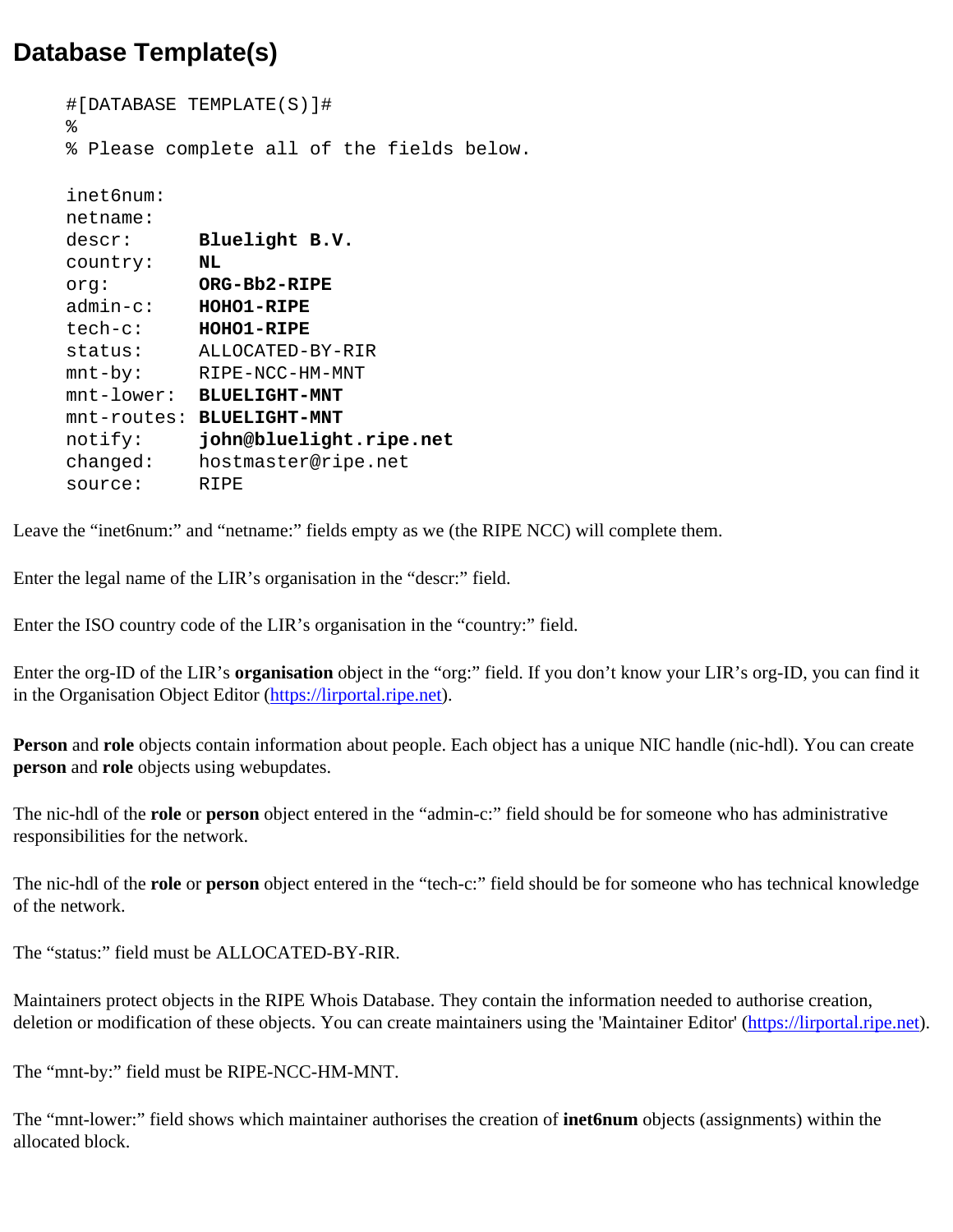# **Database Template(s)**

```
#[DATABASE TEMPLATE(S)]# 
\epsilon% Please complete all of the fields below.
inet6num: 
netname: 
descr: Bluelight B.V.
country: NL
org: ORG-Bb2-RIPE
admin-c: HOHO1-RIPE
tech-c: HOHO1-RIPE
status: ALLOCATED-BY-RIR
mnt-by: RIPE-NCC-HM-MNT
mnt-lower: BLUELIGHT-MNT
mnt-routes: BLUELIGHT-MNT
notify: john@bluelight.ripe.net
changed: hostmaster@ripe.net
source: RIPE
```
Leave the "inet6num:" and "netname:" fields empty as we (the RIPE NCC) will complete them.

Enter the legal name of the LIR's organisation in the "descr:" field.

Enter the ISO country code of the LIR's organisation in the "country:" field.

Enter the org-ID of the LIR's **organisation** object in the "org:" field. If you don't know your LIR's org-ID, you can find it in the Organisation Object Editor ([https://lirportal.ripe.net\)](https://lirportal.ripe.net/).

**Person** and **role** objects contain information about people. Each object has a unique NIC handle (nic-hdl). You can create **person** and **role** objects using webupdates.

The nic-hdl of the **role** or **person** object entered in the "admin-c:" field should be for someone who has administrative responsibilities for the network.

The nic-hdl of the **role** or **person** object entered in the "tech-c:" field should be for someone who has technical knowledge of the network.

The "status:" field must be ALLOCATED-BY-RIR.

Maintainers protect objects in the RIPE Whois Database. They contain the information needed to authorise creation, deletion or modification of these objects. You can create maintainers using the 'Maintainer Editor' ([https://lirportal.ripe.net\)](https://lirportal.ripe.net/).

The "mnt-by:" field must be RIPE-NCC-HM-MNT.

The "mnt-lower:" field shows which maintainer authorises the creation of **inet6num** objects (assignments) within the allocated block.